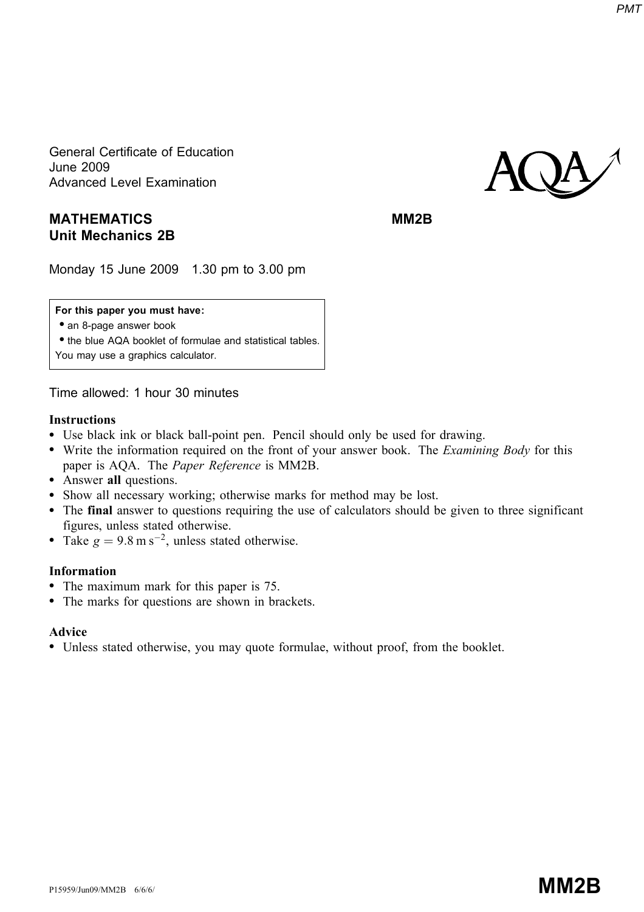General Certificate of Education June 2009 Advanced Level Examination

# MATHEMATICS MATHEMATICS Unit Mechanics 2B

# **AQA**

Monday 15 June 2009 1.30 pm to 3.00 pm

#### For this paper you must have:

• an 8-page answer book

• the blue AQA booklet of formulae and statistical tables. You may use a graphics calculator.

Time allowed: 1 hour 30 minutes

#### Instructions

- \* Use black ink or black ball-point pen. Pencil should only be used for drawing.
- Write the information required on the front of your answer book. The *Examining Body* for this paper is AQA. The Paper Reference is MM2B.
- Answer all questions.
- \* Show all necessary working; otherwise marks for method may be lost.
- \* The final answer to questions requiring the use of calculators should be given to three significant figures, unless stated otherwise.
- Take  $g = 9.8 \text{ m s}^{-2}$ , unless stated otherwise.

#### Information

- The maximum mark for this paper is 75.
- The marks for questions are shown in brackets.

### Advice

\* Unless stated otherwise, you may quote formulae, without proof, from the booklet.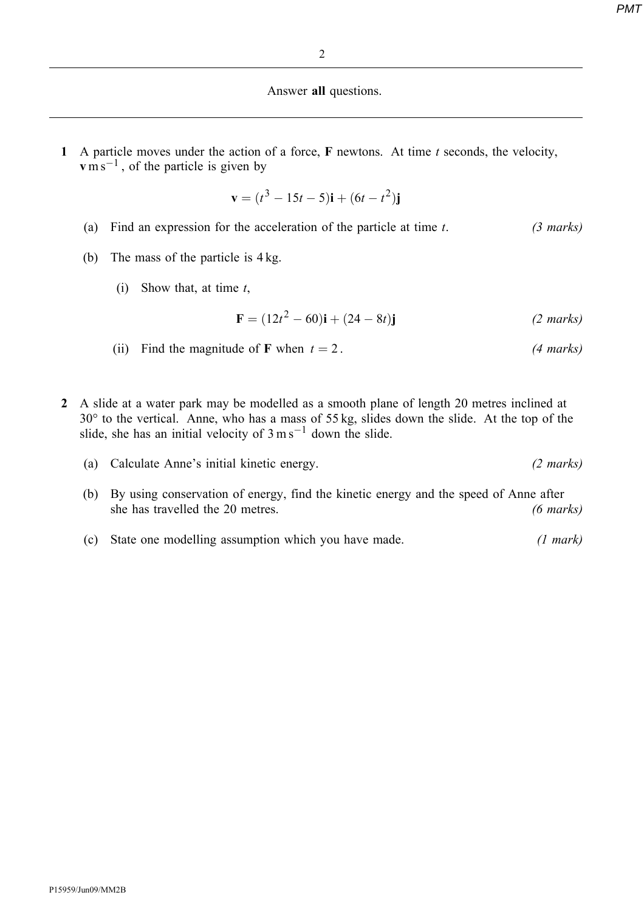## Answer all questions.

1 A particle moves under the action of a force,  $F$  newtons. At time  $t$  seconds, the velocity,  $\mathbf{v}$  m s<sup>-1</sup>, of the particle is given by

$$
\mathbf{v} = (t^3 - 15t - 5)\mathbf{i} + (6t - t^2)\mathbf{j}
$$

- (a) Find an expression for the acceleration of the particle at time  $t$ . (3 marks)
- (b) The mass of the particle is 4 kg.
	- (i) Show that, at time  $t$ ,

$$
\mathbf{F} = (12t^2 - 60)\mathbf{i} + (24 - 8t)\mathbf{j}
$$
 (2 marks)

- (ii) Find the magnitude of F when  $t = 2$ . (4 marks)
- 2 A slide at a water park may be modelled as a smooth plane of length 20 metres inclined at  $30^{\circ}$  to the vertical. Anne, who has a mass of 55 kg, slides down the slide. At the top of the slide, she has an initial velocity of  $3 \text{ m s}^{-1}$  down the slide.
	- (a) Calculate Anne's initial kinetic energy. (2 marks)
	- (b) By using conservation of energy, find the kinetic energy and the speed of Anne after she has travelled the 20 metres. (6 marks)
	- (c) State one modelling assumption which you have made. (1 mark)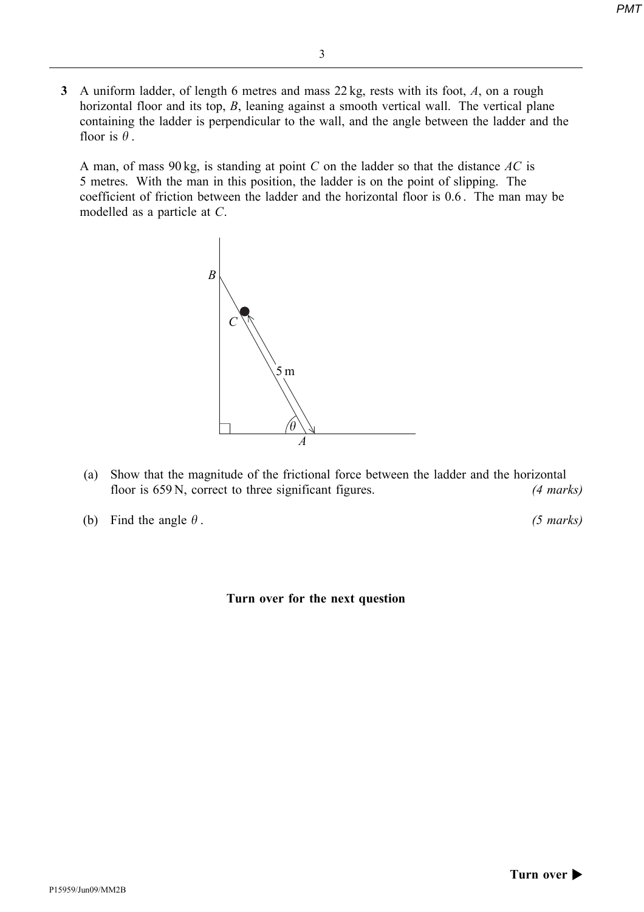- 3
- 3 A uniform ladder, of length 6 metres and mass 22 kg, rests with its foot, A, on a rough horizontal floor and its top, B, leaning against a smooth vertical wall. The vertical plane containing the ladder is perpendicular to the wall, and the angle between the ladder and the floor is  $\theta$ .

A man, of mass 90 kg, is standing at point C on the ladder so that the distance  $AC$  is 5 metres. With the man in this position, the ladder is on the point of slipping. The coefficient of friction between the ladder and the horizontal floor is 0.6 . The man may be modelled as a particle at C.



- (a) Show that the magnitude of the frictional force between the ladder and the horizontal floor is 659 N, correct to three significant figures. (4 marks)
- (b) Find the angle  $\theta$ . (5 marks)

#### Turn over for the next question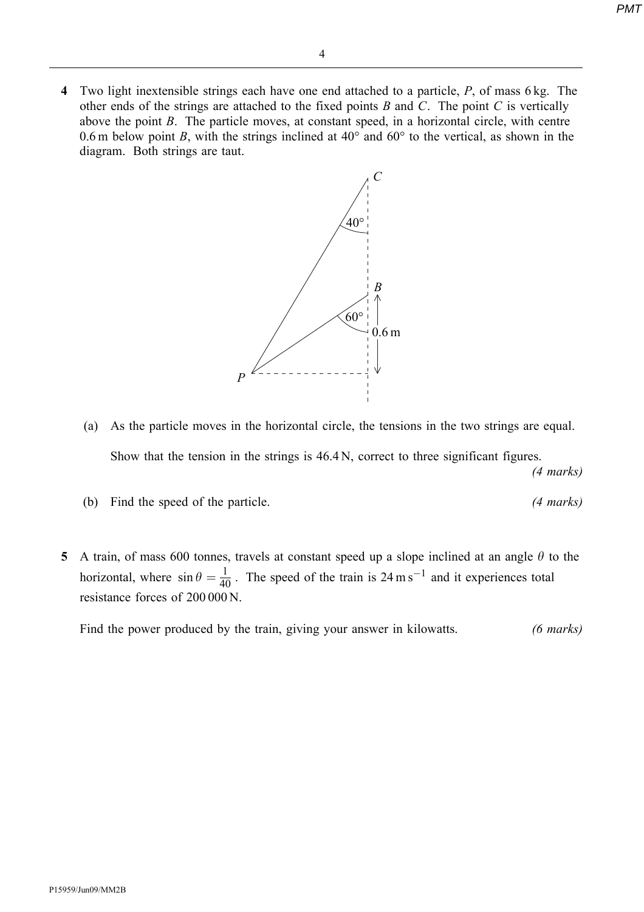4 Two light inextensible strings each have one end attached to a particle,  $P$ , of mass 6 kg. The other ends of the strings are attached to the fixed points  $B$  and  $C$ . The point  $C$  is vertically above the point B. The particle moves, at constant speed, in a horizontal circle, with centre 0.6 m below point B, with the strings inclined at  $40^{\circ}$  and  $60^{\circ}$  to the vertical, as shown in the diagram. Both strings are taut.



- (a) As the particle moves in the horizontal circle, the tensions in the two strings are equal. Show that the tension in the strings is 46.4 N, correct to three significant figures. (4 marks)
- (b) Find the speed of the particle. (4 marks)
- 5 A train, of mass 600 tonnes, travels at constant speed up a slope inclined at an angle  $\theta$  to the horizontal, where  $\sin \theta = \frac{1}{40}$ . The speed of the train is 24 m s<sup>-1</sup> and it experiences total resistance forces of 200 000 N.

Find the power produced by the train, giving your answer in kilowatts. (6 marks)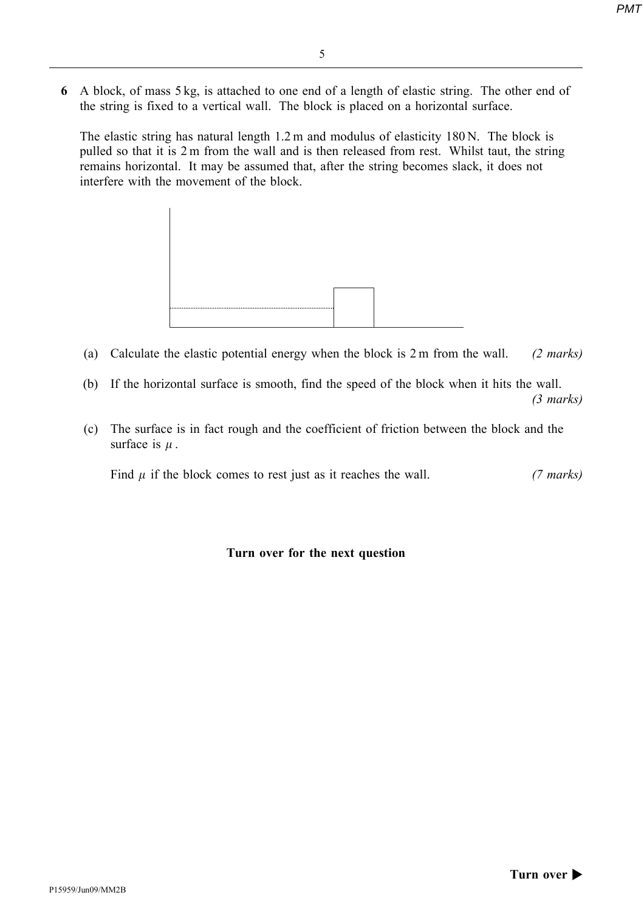- 5
- 6 A block, of mass 5 kg, is attached to one end of a length of elastic string. The other end of the string is fixed to a vertical wall. The block is placed on a horizontal surface.

The elastic string has natural length 1.2 m and modulus of elasticity 180 N. The block is pulled so that it is 2 m from the wall and is then released from rest. Whilst taut, the string remains horizontal. It may be assumed that, after the string becomes slack, it does not interfere with the movement of the block.



- (a) Calculate the elastic potential energy when the block is  $2 \text{ m}$  from the wall. (2 marks)
- (b) If the horizontal surface is smooth, find the speed of the block when it hits the wall. (3 marks)
- (c) The surface is in fact rough and the coefficient of friction between the block and the surface is  $\mu$ .

Find  $\mu$  if the block comes to rest just as it reaches the wall. (7 marks)

Turn over for the next question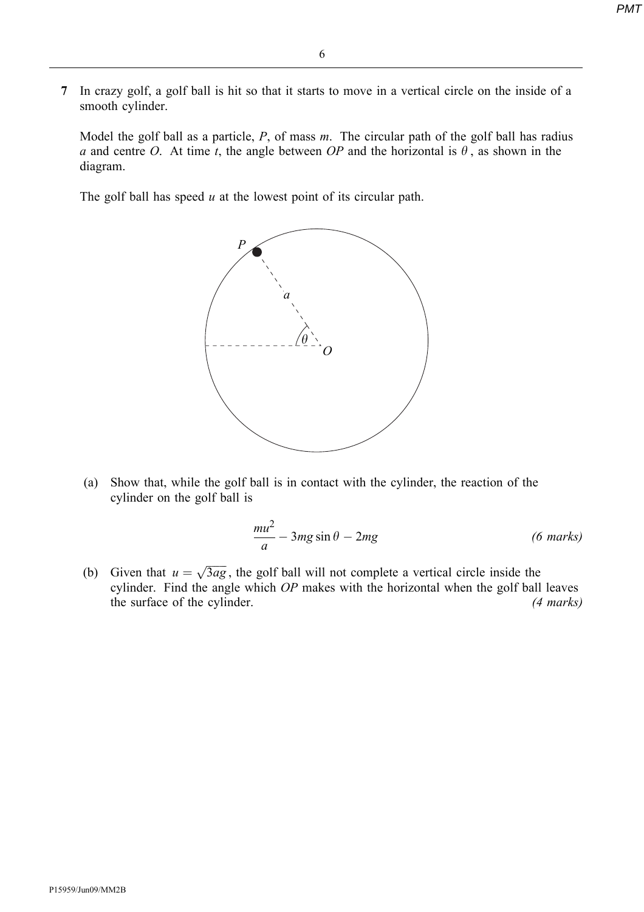7 In crazy golf, a golf ball is hit so that it starts to move in a vertical circle on the inside of a smooth cylinder.

Model the golf ball as a particle,  $P$ , of mass  $m$ . The circular path of the golf ball has radius a and centre O. At time t, the angle between OP and the horizontal is  $\theta$ , as shown in the diagram.

The golf ball has speed  $u$  at the lowest point of its circular path.



(a) Show that, while the golf ball is in contact with the cylinder, the reaction of the cylinder on the golf ball is

$$
\frac{mu^2}{a} - 3mg\sin\theta - 2mg \tag{6 marks}
$$

(b) Given that  $u = \sqrt{3ag}$ , the golf ball will not complete a vertical circle inside the cylinder. Find the angle which OP makes with the horizontal when the golf ball leaves the surface of the cylinder. (4 marks)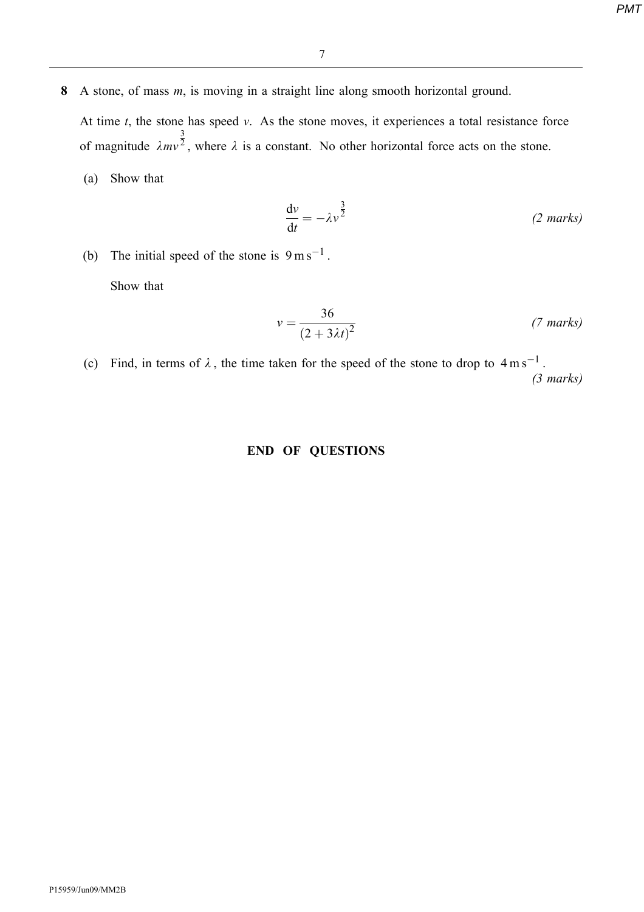- 8 A stone, of mass *m*, is moving in a straight line along smooth horizontal ground. At time  $t$ , the stone has speed  $v$ . As the stone moves, it experiences a total resistance force of magnitude  $\lambda mv$ 3  $\sqrt{2}$ , where  $\lambda$  is a constant. No other horizontal force acts on the stone.
	- (a) Show that

$$
\frac{\mathrm{d}v}{\mathrm{d}t} = -\lambda v^{\frac{3}{2}} \tag{2 marks}
$$

(b) The initial speed of the stone is  $9 \text{ m s}^{-1}$ .

Show that

$$
v = \frac{36}{\left(2 + 3\lambda t\right)^2} \tag{7 marks}
$$

(c) Find, in terms of  $\lambda$ , the time taken for the speed of the stone to drop to  $4 \text{ m s}^{-1}$ . (3 marks)

#### END OF QUESTIONS